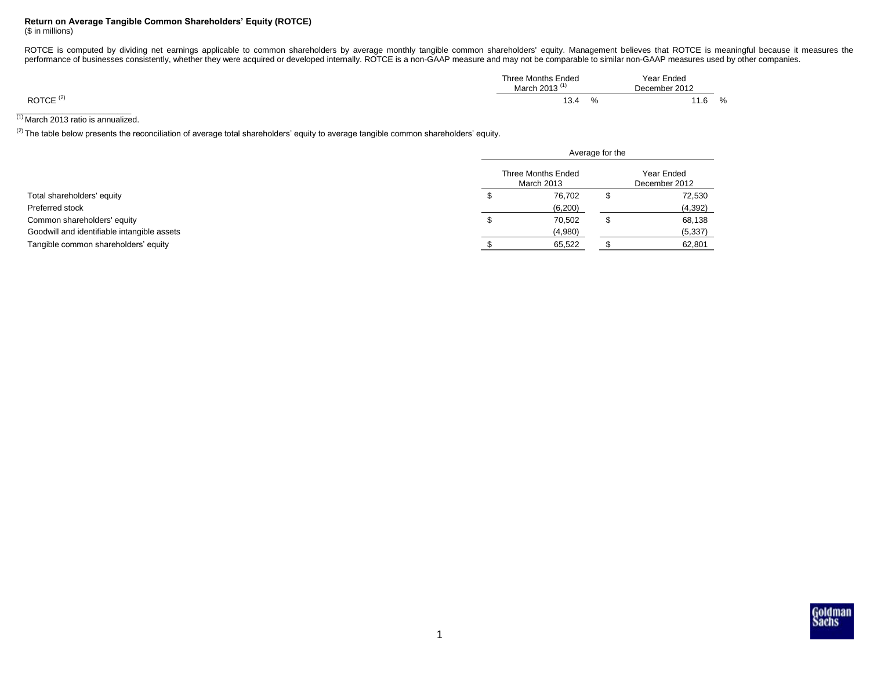## **Return on Average Tangible Common Shareholders' Equity (ROTCE)**

(\$ in millions)

ROTCE is computed by dividing net earnings applicable to common shareholders by average monthly tangible common shareholders' equity. Management believes that ROTCE is meaningful because it measures the performance of businesses consistently, whether they were acquired or developed internally. ROTCE is a non-GAAP measure and may not be comparable to similar non-GAAP measures used by other companies.

|                      | Three Months Ended<br>March 2013 ( | Year Ended<br>December 2012 |    |
|----------------------|------------------------------------|-----------------------------|----|
| ROTCE <sup>(2)</sup> | 13.4<br>7٥                         | l 1.6                       | 7٥ |

 $\frac{1}{10}$  March 2013 ratio is annualized.

<sup>(2)</sup> The table below presents the reconciliation of average total shareholders' equity to average tangible common shareholders' equity.

|                                             | Average for the                  |  |                             |  |
|---------------------------------------------|----------------------------------|--|-----------------------------|--|
|                                             | Three Months Ended<br>March 2013 |  | Year Ended<br>December 2012 |  |
| Total shareholders' equity                  | 76,702                           |  | 72,530                      |  |
| Preferred stock                             | (6,200)                          |  | (4, 392)                    |  |
| Common shareholders' equity                 | 70,502                           |  | 68,138                      |  |
| Goodwill and identifiable intangible assets | (4,980)                          |  | (5, 337)                    |  |
| Tangible common shareholders' equity        | 65,522                           |  | 62,801                      |  |

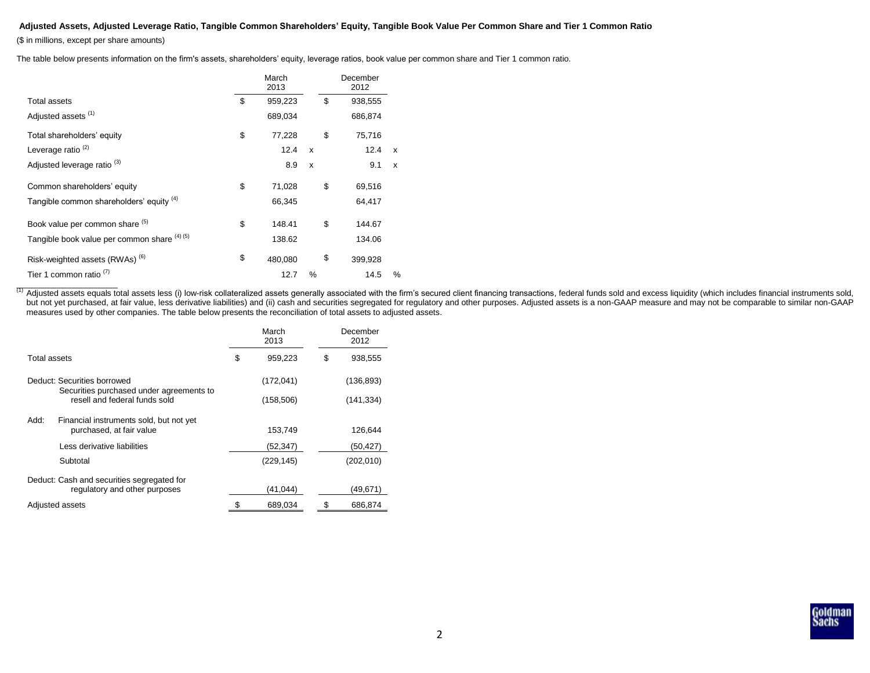## **Adjusted Assets, Adjusted Leverage Ratio, Tangible Common Shareholders' Equity, Tangible Book Value Per Common Share and Tier 1 Common Ratio**

(\$ in millions, except per share amounts)

The table below presents information on the firm's assets, shareholders' equity, leverage ratios, book value per common share and Tier 1 common ratio.

|                                              | March<br>2013 |              | December<br>2012 |                  |
|----------------------------------------------|---------------|--------------|------------------|------------------|
| Total assets                                 | \$<br>959,223 |              | \$<br>938,555    |                  |
| Adjusted assets <sup>(1)</sup>               | 689,034       |              | 686,874          |                  |
| Total shareholders' equity                   | \$<br>77,228  |              | \$<br>75,716     |                  |
| Leverage ratio <sup>(2)</sup>                | 12.4          | X            | 12.4             | $\boldsymbol{x}$ |
| Adjusted leverage ratio <sup>(3)</sup>       | 8.9           | $\mathsf{x}$ | 9.1              | $\mathsf{x}$     |
| Common shareholders' equity                  | \$<br>71,028  |              | \$<br>69,516     |                  |
| Tangible common shareholders' equity (4)     | 66,345        |              | 64,417           |                  |
| Book value per common share (5)              | \$<br>148.41  |              | \$<br>144.67     |                  |
| Tangible book value per common share (4) (5) | 138.62        |              | 134.06           |                  |
| Risk-weighted assets (RWAs) <sup>(6)</sup>   | \$<br>480,080 |              | \$<br>399,928    |                  |
| Tier 1 common ratio <sup>(1)</sup>           | 12.7          | %            | 14.5             | %                |

(1) Adjusted assets equals total assets less (i) low-risk collateralized assets generally associated with the firm's secured client financing transactions, federal funds sold and excess liquidity (which includes financial but not yet purchased, at fair value, less derivative liabilities) and (ii) cash and securities segregated for regulatory and other purposes. Adjusted assets is a non-GAAP measure and may not be comparable to similar non-G measures used by other companies. The table below presents the reconciliation of total assets to adjusted assets.

|                                                                             | March<br>2013 |            | December<br>2012 |  |
|-----------------------------------------------------------------------------|---------------|------------|------------------|--|
| Total assets                                                                | \$            | 959,223    | \$<br>938,555    |  |
| Deduct: Securities borrowed                                                 |               | (172, 041) | (136, 893)       |  |
| Securities purchased under agreements to<br>resell and federal funds sold   |               | (158, 506) | (141,334)        |  |
| Add:<br>Financial instruments sold, but not yet<br>purchased, at fair value |               | 153,749    | 126,644          |  |
| Less derivative liabilities                                                 |               | (52,347)   | (50,427)         |  |
| Subtotal                                                                    |               | (229, 145) | (202, 010)       |  |
| Deduct: Cash and securities segregated for<br>regulatory and other purposes |               | (41, 044)  | (49,671)         |  |
| Adjusted assets                                                             |               | 689,034    | 686,874          |  |